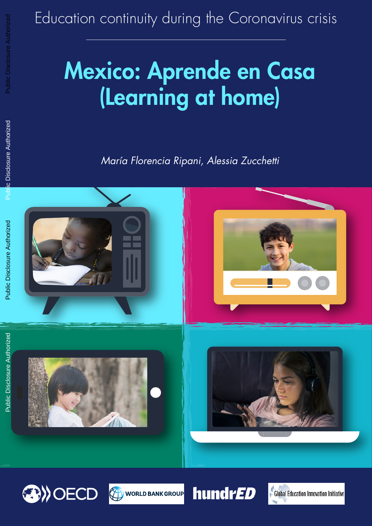# Education continuity during the Coronavirus crisis

# Mexico: Aprende en Casa (Learning at home)

*María Florencia Ripani, Alessia Zucchetti*







**hundrED** 

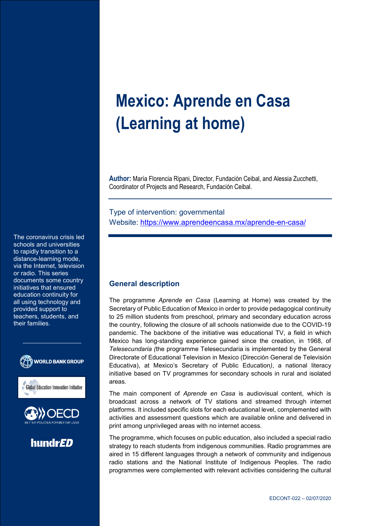# **Mexico: Aprende en Casa (Learning at home)**

**Author:** María Florencia Ripani, Director, Fundación Ceibal, and Alessia Zucchetti, Coordinator of Projects and Research, Fundación Ceibal.

Type of intervention: governmental Website: https://www.aprendeencasa.mx/aprende-en-casa/

to rapidly transition to a distance-learning mode, via the Internet, television or radio. This series documents some country initiatives that ensured education continuity for all using technology and provided support to teachers, students, and their families.

The coronavirus crisis led schools and universities





hundrED

# **General description**

The programme *Aprende en Casa* (Learning at Home) was created by the Secretary of Public Education of Mexico in order to provide pedagogical continuity to 25 million students from preschool, primary and secondary education across the country, following the closure of all schools nationwide due to the COVID-19 pandemic. The backbone of the initiative was educational TV, a field in which Mexico has long-standing experience gained since the creation, in 1968, of *Telesecundaria (*the programme Telesecundaria is implemented by the General Directorate of Educational Television in Mexico (Dirección General de Televisión Educativa), at Mexico's Secretary of Public Education*)*, a national literacy initiative based on TV programmes for secondary schools in rural and isolated areas.

The main component of *Aprende en Casa* is audiovisual content, which is broadcast across a network of TV stations and streamed through internet platforms. It included specific slots for each educational level, complemented with activities and assessment questions which are available online and delivered in print among unprivileged areas with no internet access.

The programme, which focuses on public education, also included a special radio strategy to reach students from indigenous communities. Radio programmes are aired in 15 different languages through a network of community and indigenous radio stations and the National Institute of Indigenous Peoples. The radio programmes were complemented with relevant activities considering the cultural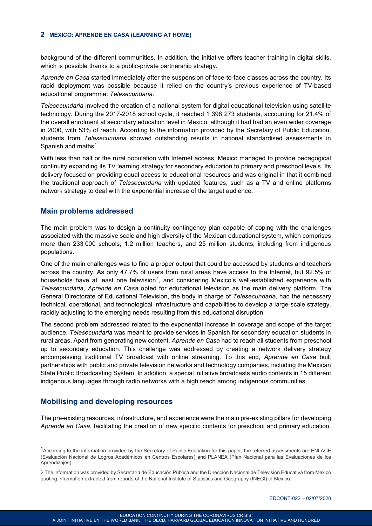#### **2** | **MEXICO: APRENDE EN CASA (LEARNING AT HOME)**

background of the different communities. In addition, the initiative offers teacher training in digital skills, which is possible thanks to a public-private partnership strategy.

*Aprende en Casa* started immediately after the suspension of face-to-face classes across the country. Its rapid deployment was possible because it relied on the country's previous experience of TV-based educational programme: *Telesecundaria*.

*Telesecundaria* involved the creation of a national system for digital educational television using satellite technology. During the 2017-2018 school cycle, it reached 1 398 273 students, accounting for 21.4% of the overall enrolment at secondary education level in Mexico, although it had had an even wider coverage in 2000, with 53% of reach. According to the information provided by the Secretary of Public Education, students from *Telesecundaria* showed outstanding results in national standardised assessments in Spanish and maths<sup>[1](#page-2-0)</sup>.

With less than half or the rural population with Internet access, Mexico managed to provide pedagogical continuity expanding its TV learning strategy for secondary education to primary and preschool levels. Its delivery focused on providing equal access to educational resources and was original in that it combined the traditional approach of *Telesecundaria* with updated features, such as a TV and online platforms network strategy to deal with the exponential increase of the target audience.

#### **Main problems addressed**

The main problem was to design a continuity contingency plan capable of coping with the challenges associated with the massive scale and high diversity of the Mexican educational system, which comprises more than 233 000 schools, 1.2 million teachers, and 25 million students, including from indigenous populations.

One of the main challenges was to find a proper output that could be accessed by students and teachers across the country. As only 47.7% of users from rural areas have access to the Internet, but 92.5% of households have at least one television<sup>2</sup>, and considering Mexico's well-established experience with *Telesecundaria*, *Aprende en Casa* opted for educational television as the main delivery platform. The General Directorate of Educational Television, the body in charge of *Telesecundaria*, had the necessary technical, operational, and technological infrastructure and capabilities to develop a large-scale strategy, rapidly adjusting to the emerging needs resulting from this educational disruption.

The second problem addressed related to the exponential increase in coverage and scope of the target audience. *Telesecundaria* was meant to provide services in Spanish for secondary education students in rural areas. Apart from generating new content, *Aprende en Casa* had to reach all students from preschool up to secondary education. This challenge was addressed by creating a network delivery strategy encompassing traditional TV broadcast with online streaming. To this end, *Aprende en Casa* built partnerships with public and private television networks and technology companies, including the Mexican State Public Broadcasting System. In addition, a special initiative broadcasts audio contents in 15 different indigenous languages through radio networks with a high reach among indigenous communities.

# **Mobilising and developing resources**

The pre-existing resources, infrastructure, and experience were the main pre-existing pillars for developing *Aprende en Casa*, facilitating the creation of new specific contents for preschool and primary education.

<span id="page-2-0"></span> <sup>1</sup> According to the information provided by the Secretary of Public Education for this paper, the referred assessments are ENLACE (Evaluación Nacional de Logros Académicos en Centros Escolares) and PLANEA (Plan Nacional para las Evaluaciones de los Aprendizajes).

<span id="page-2-1"></span><sup>2</sup> The information was provided by Secretaría de Educación Pública and the Dirección Nacional de Televisión Educativa from Mexico quoting information extracted from reports of the National Institute of Statistics and Geography (INEGI) of Mexico.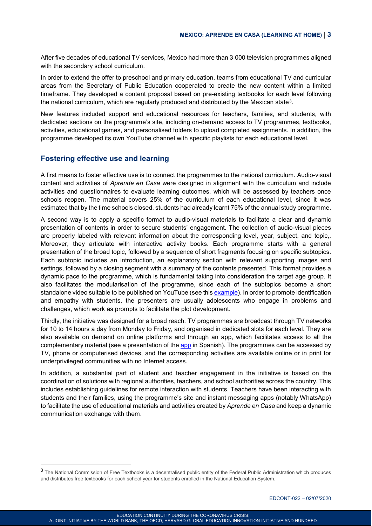After five decades of educational TV services, Mexico had more than 3 000 television programmes aligned with the secondary school curriculum.

In order to extend the offer to preschool and primary education, teams from educational TV and curricular areas from the Secretary of Public Education cooperated to create the new content within a limited timeframe. They developed a content proposal based on pre-existing textbooks for each level following the national curriculum, which are regularly produced and distributed by the Mexican state[3.](#page-3-0)

New features included support and educational resources for teachers, families, and students, with dedicated sections on the programme's site, including on-demand access to TV programmes, textbooks, activities, educational games, and personalised folders to upload completed assignments. In addition, the programme developed its own YouTube channel with specific playlists for each educational level.

# **Fostering effective use and learning**

A first means to foster effective use is to connect the programmes to the national curriculum. Audio-visual content and activities of *Aprende en Casa* were designed in alignment with the curriculum and include activities and questionnaires to evaluate learning outcomes, which will be assessed by teachers once schools reopen. The material covers 25% of the curriculum of each educational level, since it was estimated that by the time schools closed, students had already learnt 75% of the annual study programme.

A second way is to apply a specific format to audio-visual materials to facilitate a clear and dynamic presentation of contents in order to secure students' engagement. The collection of audio-visual pieces are properly labeled with relevant information about the corresponding level, year, subject, and topic,. Moreover, they articulate with interactive activity books. Each programme starts with a general presentation of the broad topic, followed by a sequence of short fragments focusing on specific subtopics. Each subtopic includes an introduction, an explanatory section with relevant supporting images and settings, followed by a closing segment with a summary of the contents presented. This format provides a dynamic pace to the programme, which is fundamental taking into consideration the target age group. It also facilitates the modularisation of the programme, since each of the subtopics become a short standalone video suitable to be published on YouTube (see this [example\)](https://www.youtube.com/watch?v=WWXllBLfMzE). In order to promote identification and empathy with students, the presenters are usually adolescents who engage in problems and challenges, which work as prompts to facilitate the plot development.

Thirdly, the initiative was designed for a broad reach. TV programmes are broadcast through TV networks for 10 to 14 hours a day from Monday to Friday, and organised in dedicated slots for each level. They are also available on demand on online platforms and through an app, which facilitates access to all the complementary material (see a presentation of the [app](https://www.youtube.com/watch?v=kSQeegaov_E&feature=youtu.be) in Spanish). The programmes can be accessed by TV, phone or computerised devices, and the corresponding activities are available online or in print for underprivileged communities with no Internet access.

In addition, a substantial part of student and teacher engagement in the initiative is based on the coordination of solutions with regional authorities, teachers, and school authorities across the country. This includes establishing guidelines for remote interaction with students. Teachers have been interacting with students and their families, using the programme's site and instant messaging apps (notably WhatsApp) to facilitate the use of educational materials and activities created by *Aprende en Casa* and keep a dynamic communication exchange with them.

<span id="page-3-0"></span><sup>&</sup>lt;sup>3</sup> The National Commission of Free Textbooks is a decentralised public entity of the Federal Public Administration which produces and distributes free textbooks for each school year for students enrolled in the National Education System.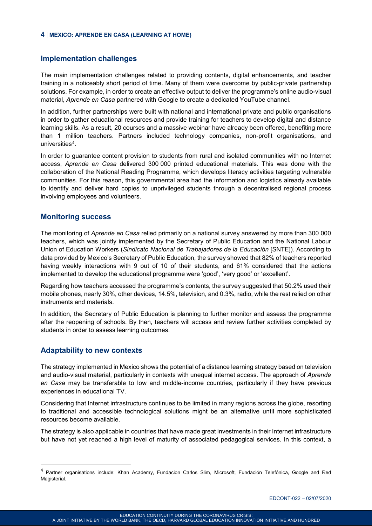#### **4** | **MEXICO: APRENDE EN CASA (LEARNING AT HOME)**

#### **Implementation challenges**

The main implementation challenges related to providing contents, digital enhancements, and teacher training in a noticeably short period of time. Many of them were overcome by public-private partnership solutions. For example, in order to create an effective output to deliver the programme's online audio-visual material, *Aprende en Casa* partnered with Google to create a dedicated YouTube channel.

In addition, further partnerships were built with national and international private and public organisations in order to gather educational resources and provide training for teachers to develop digital and distance learning skills. As a result, 20 courses and a massive webinar have already been offered, benefiting more than 1 million teachers. Partners included technology companies, non-profit organisations, and universities<sup>[4](#page-4-0)</sup>.

In order to guarantee content provision to students from rural and isolated communities with no Internet access, *Aprende en Casa* delivered 300 000 printed educational materials. This was done with the collaboration of the National Reading Programme, which develops literacy activities targeting vulnerable communities. For this reason, this governmental area had the information and logistics already available to identify and deliver hard copies to unprivileged students through a decentralised regional process involving employees and volunteers.

#### **Monitoring success**

The monitoring of *Aprende en Casa* relied primarily on a national survey answered by more than 300 000 teachers, which was jointly implemented by the Secretary of Public Education and the National Labour Union of Education Workers (*Sindicato Nacional de Trabajadores de la Educación* [SNTE]). According to data provided by Mexico's Secretary of Public Education, the survey showed that 82% of teachers reported having weekly interactions with 9 out of 10 of their students, and 61% considered that the actions implemented to develop the educational programme were 'good', 'very good' or 'excellent'.

Regarding how teachers accessed the programme's contents, the survey suggested that 50.2% used their mobile phones, nearly 30%, other devices, 14.5%, television, and 0.3%, radio, while the rest relied on other instruments and materials.

In addition, the Secretary of Public Education is planning to further monitor and assess the programme after the reopening of schools. By then, teachers will access and review further activities completed by students in order to assess learning outcomes.

# **Adaptability to new contexts**

The strategy implemented in Mexico shows the potential of a distance learning strategy based on television and audio-visual material, particularly in contexts with unequal internet access. The approach of *Aprende en Casa* may be transferable to low and middle-income countries, particularly if they have previous experiences in educational TV.

Considering that Internet infrastructure continues to be limited in many regions across the globe, resorting to traditional and accessible technological solutions might be an alternative until more sophisticated resources become available.

The strategy is also applicable in countries that have made great investments in their Internet infrastructure but have not yet reached a high level of maturity of associated pedagogical services. In this context, a

<span id="page-4-0"></span> <sup>4</sup> Partner organisations include: Khan Academy, Fundacion Carlos Slim, Microsoft, Fundación Telefónica, Google and Red Magisterial.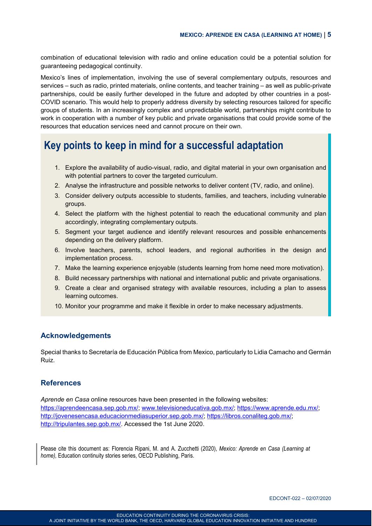combination of educational television with radio and online education could be a potential solution for guaranteeing pedagogical continuity.

Mexico's lines of implementation, involving the use of several complementary outputs, resources and services – such as radio, printed materials, online contents, and teacher training – as well as public-private partnerships, could be easily further developed in the future and adopted by other countries in a post-COVID scenario. This would help to properly address diversity by selecting resources tailored for specific groups of students. In an increasingly complex and unpredictable world, partnerships might contribute to work in cooperation with a number of key public and private organisations that could provide some of the resources that education services need and cannot procure on their own.

# **Key points to keep in mind for a successful adaptation**

- 1. Explore the availability of audio-visual, radio, and digital material in your own organisation and with potential partners to cover the targeted curriculum.
- 2. Analyse the infrastructure and possible networks to deliver content (TV, radio, and online).
- 3. Consider delivery outputs accessible to students, families, and teachers, including vulnerable groups.
- 4. Select the platform with the highest potential to reach the educational community and plan accordingly, integrating complementary outputs.
- 5. Segment your target audience and identify relevant resources and possible enhancements depending on the delivery platform.
- 6. Involve teachers, parents, school leaders, and regional authorities in the design and implementation process.
- 7. Make the learning experience enjoyable (students learning from home need more motivation).
- 8. Build necessary partnerships with national and international public and private organisations.
- 9. Create a clear and organised strategy with available resources, including a plan to assess learning outcomes.
- 10. Monitor your programme and make it flexible in order to make necessary adjustments.

# **Acknowledgements**

Special thanks to Secretaría de Educación Pública from Mexico, particularly to Lidia Camacho and Germán Ruiz.

# **References**

*Aprende en Casa* online resources have been presented in the following websites: [https://aprendeencasa.sep.gob.mx/;](https://aprendeencasa.sep.gob.mx/) [www.televisioneducativa.gob.mx/;](https://www.televisioneducativa.gob.mx/) [https://www.aprende.edu.mx/;](https://www.aprende.edu.mx/) [http://jovenesencasa.educacionmediasuperior.sep.gob.mx/;](http://jovenesencasa.educacionmediasuperior.sep.gob.mx/) [https://libros.conaliteg.gob.mx/;](https://libros.conaliteg.gob.mx/) [http://tripulantes.sep.gob.mx/.](http://tripulantes.sep.gob.mx/) Accessed the 1st June 2020.

Please cite this document as: Florencia Ripani, M. and A. Zucchetti (2020), *Mexico: Aprende en Casa (Learning at home), Education continuity stories series, OECD Publishing, Paris.*